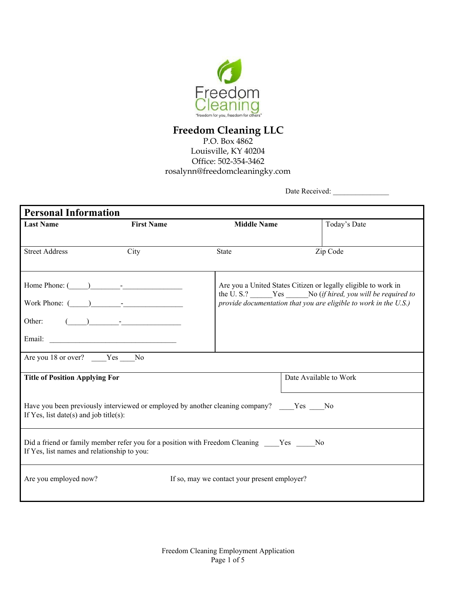

## **Freedom Cleaning LLC**

P.O. Box 4862 Louisville, KY 40204 Office: 502-354-3462 rosalynn@freedomcleaningky.com

Date Received: \_\_\_\_\_\_\_\_\_\_\_\_\_\_\_

| <b>Personal Information</b>                                                                                                        |                                                                                                                                                                                                                                                                                                                                                                     |                                              |                                                                                                                                      |  |  |
|------------------------------------------------------------------------------------------------------------------------------------|---------------------------------------------------------------------------------------------------------------------------------------------------------------------------------------------------------------------------------------------------------------------------------------------------------------------------------------------------------------------|----------------------------------------------|--------------------------------------------------------------------------------------------------------------------------------------|--|--|
| <b>Last Name</b>                                                                                                                   | <b>First Name</b>                                                                                                                                                                                                                                                                                                                                                   | <b>Middle Name</b>                           | Today's Date                                                                                                                         |  |  |
|                                                                                                                                    |                                                                                                                                                                                                                                                                                                                                                                     |                                              |                                                                                                                                      |  |  |
| <b>Street Address</b>                                                                                                              | City                                                                                                                                                                                                                                                                                                                                                                | <b>State</b>                                 | Zip Code                                                                                                                             |  |  |
|                                                                                                                                    |                                                                                                                                                                                                                                                                                                                                                                     |                                              |                                                                                                                                      |  |  |
| Home Phone: $(\_\_)$                                                                                                               |                                                                                                                                                                                                                                                                                                                                                                     |                                              | Are you a United States Citizen or legally eligible to work in                                                                       |  |  |
|                                                                                                                                    |                                                                                                                                                                                                                                                                                                                                                                     |                                              | the U.S.? ______Yes _______No (if hired, you will be required to<br>provide documentation that you are eligible to work in the U.S.) |  |  |
|                                                                                                                                    |                                                                                                                                                                                                                                                                                                                                                                     |                                              |                                                                                                                                      |  |  |
| Other:                                                                                                                             | $\begin{picture}(20,10) \put(0,0){\vector(1,0){100}} \put(15,0){\vector(1,0){100}} \put(15,0){\vector(1,0){100}} \put(15,0){\vector(1,0){100}} \put(15,0){\vector(1,0){100}} \put(15,0){\vector(1,0){100}} \put(15,0){\vector(1,0){100}} \put(15,0){\vector(1,0){100}} \put(15,0){\vector(1,0){100}} \put(15,0){\vector(1,0){100}} \put(15,0){\vector(1,0){100}} \$ |                                              |                                                                                                                                      |  |  |
|                                                                                                                                    |                                                                                                                                                                                                                                                                                                                                                                     |                                              |                                                                                                                                      |  |  |
| Are you 18 or over? Yes No                                                                                                         |                                                                                                                                                                                                                                                                                                                                                                     |                                              |                                                                                                                                      |  |  |
|                                                                                                                                    |                                                                                                                                                                                                                                                                                                                                                                     |                                              |                                                                                                                                      |  |  |
| <b>Title of Position Applying For</b>                                                                                              |                                                                                                                                                                                                                                                                                                                                                                     |                                              | Date Available to Work                                                                                                               |  |  |
|                                                                                                                                    |                                                                                                                                                                                                                                                                                                                                                                     |                                              |                                                                                                                                      |  |  |
| Have you been previously interviewed or employed by another cleaning company? Yes No<br>If Yes, list date(s) and job title(s):     |                                                                                                                                                                                                                                                                                                                                                                     |                                              |                                                                                                                                      |  |  |
|                                                                                                                                    |                                                                                                                                                                                                                                                                                                                                                                     |                                              |                                                                                                                                      |  |  |
| Did a friend or family member refer you for a position with Freedom Cleaning Yes No<br>If Yes, list names and relationship to you: |                                                                                                                                                                                                                                                                                                                                                                     |                                              |                                                                                                                                      |  |  |
| Are you employed now?                                                                                                              |                                                                                                                                                                                                                                                                                                                                                                     | If so, may we contact your present employer? |                                                                                                                                      |  |  |
|                                                                                                                                    |                                                                                                                                                                                                                                                                                                                                                                     |                                              |                                                                                                                                      |  |  |
|                                                                                                                                    |                                                                                                                                                                                                                                                                                                                                                                     |                                              |                                                                                                                                      |  |  |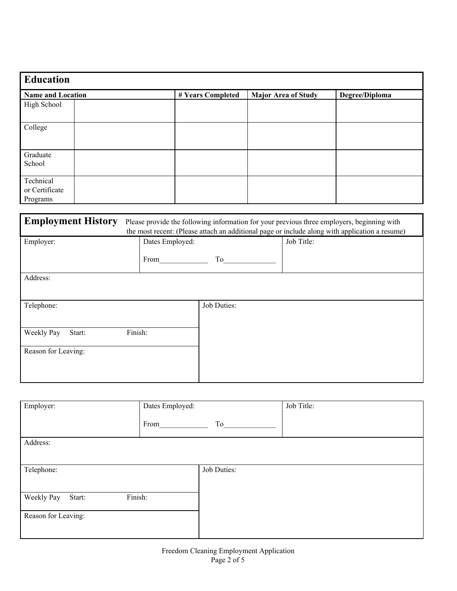| Education                |  |                   |                            |                |  |  |
|--------------------------|--|-------------------|----------------------------|----------------|--|--|
| <b>Name and Location</b> |  | # Years Completed | <b>Major Area of Study</b> | Degree/Diploma |  |  |
| High School              |  |                   |                            |                |  |  |
| College                  |  |                   |                            |                |  |  |
| Graduate                 |  |                   |                            |                |  |  |
| School                   |  |                   |                            |                |  |  |
| Technical                |  |                   |                            |                |  |  |
| or Certificate           |  |                   |                            |                |  |  |
| Programs                 |  |                   |                            |                |  |  |

| <b>Employment History</b> | Please provide the following information for your previous three employers, beginning with<br>the most recent: (Please attach an additional page or include along with application a resume) |             |            |  |
|---------------------------|----------------------------------------------------------------------------------------------------------------------------------------------------------------------------------------------|-------------|------------|--|
| Employer:                 | Dates Employed:                                                                                                                                                                              |             | Job Title: |  |
|                           | From                                                                                                                                                                                         | To          |            |  |
| Address:                  |                                                                                                                                                                                              |             |            |  |
| Telephone:                |                                                                                                                                                                                              | Job Duties: |            |  |
| Weekly Pay<br>Start:      | Finish:                                                                                                                                                                                      |             |            |  |
| Reason for Leaving:       |                                                                                                                                                                                              |             |            |  |
|                           |                                                                                                                                                                                              |             |            |  |

| Employer:                       | Dates Employed: |             | Job Title: |
|---------------------------------|-----------------|-------------|------------|
|                                 | From            | To          |            |
| Address:                        |                 |             |            |
|                                 |                 |             |            |
| Telephone:                      |                 | Job Duties: |            |
|                                 |                 |             |            |
| Finish:<br>Weekly Pay<br>Start: |                 |             |            |
| Reason for Leaving:             |                 |             |            |
|                                 |                 |             |            |
|                                 |                 |             |            |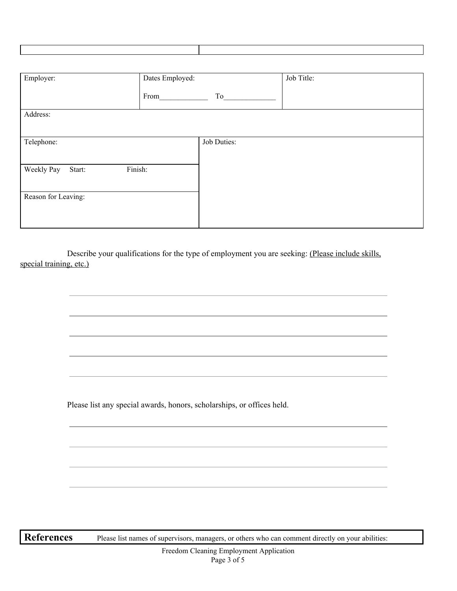| Dates Employed: |         | Job Title:  |
|-----------------|---------|-------------|
| From            | To      |             |
|                 |         |             |
|                 |         |             |
|                 |         |             |
|                 |         |             |
|                 |         |             |
|                 |         |             |
|                 |         |             |
|                 |         |             |
|                 | Finish: | Job Duties: |

Describe your qualifications for the type of employment you are seeking: (Please include skills, special training, etc.)

Please list any special awards, honors, scholarships, or offices held.

**References** Please list names of supervisors, managers, or others who can comment directly on your abilities: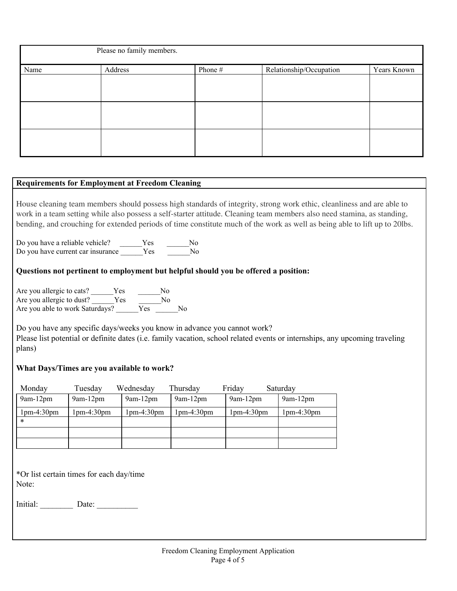| Please no family members. |         |         |                         |             |  |
|---------------------------|---------|---------|-------------------------|-------------|--|
| Name                      | Address | Phone # | Relationship/Occupation | Years Known |  |
|                           |         |         |                         |             |  |
|                           |         |         |                         |             |  |
|                           |         |         |                         |             |  |
|                           |         |         |                         |             |  |
|                           |         |         |                         |             |  |
|                           |         |         |                         |             |  |

## **Requirements for Employment at Freedom Cleaning**

House cleaning team members should possess high standards of integrity, strong work ethic, cleanliness and are able to work in a team setting while also possess a self-starter attitude. Cleaning team members also need stamina, as standing, bending, and crouching for extended periods of time constitute much of the work as well as being able to lift up to 20lbs.

Do you have a reliable vehicle? \_\_\_\_\_\_\_Yes \_\_\_\_\_\_\_\_No Do you have current car insurance \_\_\_\_\_\_Yes \_\_\_\_\_\_\_No

## **Questions not pertinent to employment but helpful should you be offered a position:**

Are you allergic to cats? Ves No Are you allergic to dust? Ves No Are you able to work Saturdays? \_\_\_\_\_\_Yes \_\_\_\_\_\_No

Do you have any specific days/weeks you know in advance you cannot work? Please list potential or definite dates (i.e. family vacation, school related events or internships, any upcoming traveling plans)

## **What Days/Times are you available to work?**

| Monday     | Tuesday    | Wednesday  | Thursday   | Friday          | Saturday   |
|------------|------------|------------|------------|-----------------|------------|
| $9am-12pm$ | $9am-12pm$ | $9am-12pm$ | $9am-12pm$ | $9$ am- $12$ pm | $9am-12pm$ |
| lpm-4:30pm | 1pm-4:30pm | 1pm-4:30pm | lpm-4:30pm | $1pm-4:30pm$    | 1pm-4:30pm |
| *          |            |            |            |                 |            |
|            |            |            |            |                 |            |
|            |            |            |            |                 |            |

\*Or list certain times for each day/time Note:

Initial: Date: Date: